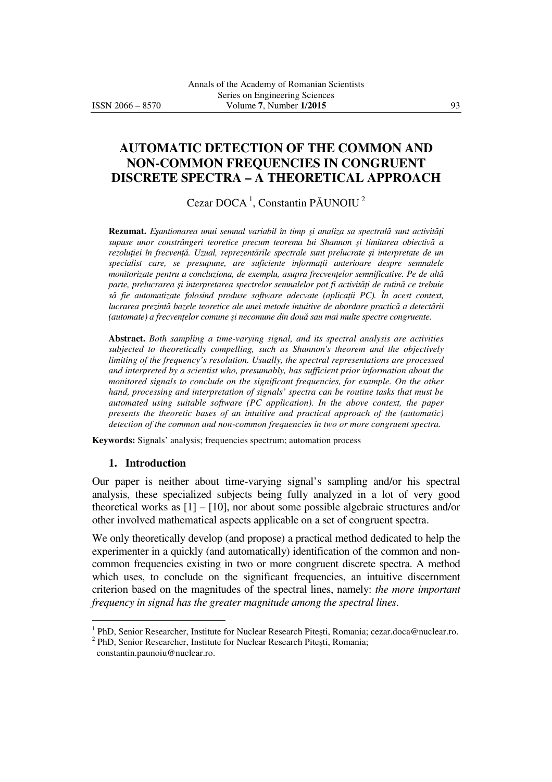# **AUTOMATIC DETECTION OF THE COMMON AND NON-COMMON FREQUENCIES IN CONGRUENT DISCRETE SPECTRA – A THEORETICAL APPROACH**

Cezar DOCA<sup>1</sup>, Constantin PĂUNOIU<sup>2</sup>

**Rezumat.** *E*ş*antionarea unui semnal variabil în timp* ş*i analiza sa spectral*ă *sunt activit*ăţ*i supuse unor constrângeri teoretice precum teorema lui Shannon* ş*i limitarea obiectiv*ă *a rezolu*ţ*iei în frecven*ţă*. Uzual, reprezent*ă*rile spectrale sunt prelucrate* ş*i interpretate de un specialist care, se presupune, are suficiente informa*ţ*ii anterioare despre semnalele monitorizate pentru a concluziona, de exemplu, asupra frecvențelor semnificative. Pe de altă parte, prelucrarea* ş*i interpretarea spectrelor semnalelor pot fi activit*ăţ*i de rutin*ă *ce trebuie s*ă *fie automatizate folosind produse software adecvate (aplica*ţ*ii PC). În acest context, lucrarea prezint*ă *bazele teoretice ale unei metode intuitive de abordare practic*ă *a detect*ă*rii (automate) a frecven*ţ*elor comune* ş*i necomune din dou*ă *sau mai multe spectre congruente.*

**Abstract.** *Both sampling a time-varying signal, and its spectral analysis are activities subjected to theoretically compelling, such as Shannon's theorem and the objectively limiting of the frequency's resolution. Usually, the spectral representations are processed and interpreted by a scientist who, presumably, has sufficient prior information about the monitored signals to conclude on the significant frequencies, for example. On the other hand, processing and interpretation of signals' spectra can be routine tasks that must be automated using suitable software (PC application). In the above context, the paper presents the theoretic bases of an intuitive and practical approach of the (automatic) detection of the common and non-common frequencies in two or more congruent spectra.*

**Keywords:** Signals' analysis; frequencies spectrum; automation process

#### **1. Introduction**

Our paper is neither about time-varying signal's sampling and/or his spectral analysis, these specialized subjects being fully analyzed in a lot of very good theoretical works as [1] – [10], nor about some possible algebraic structures and/or other involved mathematical aspects applicable on a set of congruent spectra.

We only theoretically develop (and propose) a practical method dedicated to help the experimenter in a quickly (and automatically) identification of the common and noncommon frequencies existing in two or more congruent discrete spectra. A method which uses, to conclude on the significant frequencies, an intuitive discernment criterion based on the magnitudes of the spectral lines, namely: *the more important frequency in signal has the greater magnitude among the spectral lines*.

 $\overline{a}$ 

<sup>&</sup>lt;sup>1</sup> PhD, Senior Researcher, Institute for Nuclear Research Pitești, Romania; cezar.doca@nuclear.ro.

<sup>&</sup>lt;sup>2</sup> PhD, Senior Researcher, Institute for Nuclear Research Pitești, Romania;

constantin.paunoiu@nuclear.ro.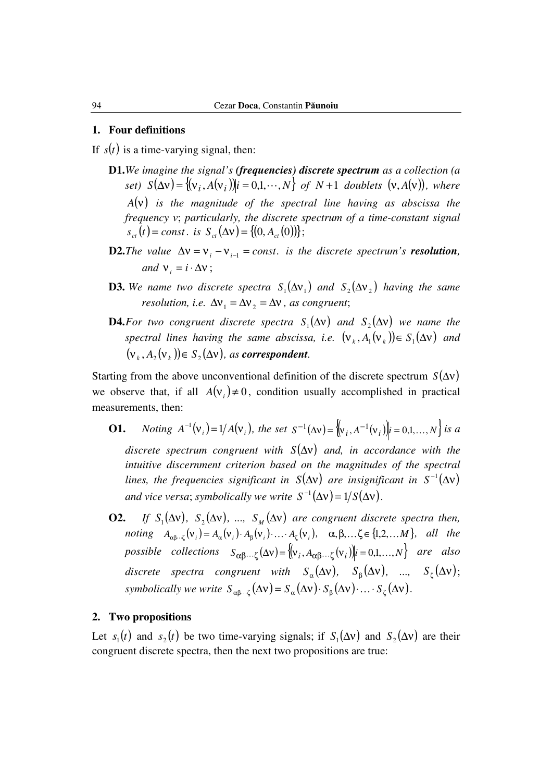#### **1. Four definitions**

If  $s(t)$  is a time-varying signal, then:

- **D1.***We imagine the signal's (frequencies) discrete spectrum as a collection (a set)*  $S(\Delta v) = \{ (v_i, A(v_i)) | i = 0, 1, \dots, N \}$  of  $N+1$  doublets  $(v, A(v))$ , where *A*(ν) *is the magnitude of the spectral line having as abscissa the frequency* ν; *particularly, the discrete spectrum of a time-constant signal*   $s_{ct}(t) = const.$  *is*  $S_{ct}(\Delta v) = \{(0, A_{ct}(0))\};$
- **D2.***The value*  $\Delta v = v_i v_{i-1} = const.$  *is the discrete spectrum's <i>resolution*, *and*  $v_i = i \cdot \Delta v$ ;
- **D3.** We name two discrete spectra  $S_1(\Delta v_1)$  and  $S_2(\Delta v_2)$  having the same *resolution, i.e.*  $\Delta v_1 = \Delta v_2 = \Delta v$ , *as congruent*;
- **D4.***For two congruent discrete spectra*  $S_1(\Delta v)$  *and*  $S_2(\Delta v)$  *we name the spectral lines having the same abscissa, i.e.*  $(v_k, A_i(v_k)) \in S_i(\Delta v)$  *and*  $(v_k, A_2(v_k)) \in S_2(\Delta v)$ , as *correspondent*.

Starting from the above unconventional definition of the discrete spectrum *S*(∆ν) we observe that, if all  $A(v_i) \neq 0$ , condition usually accomplished in practical measurements, then:

- **O1.** *Noting*  $A^{-1}(v_i) = 1/A(v_i)$ , the set  $S^{-1}(\Delta v) = \{ (v_i, A^{-1}(v_i)) | i = 0,1,...,N \}$  is a *discrete spectrum congruent with S*(∆ν) *and, in accordance with the intuitive discernment criterion based on the magnitudes of the spectral lines, the frequencies significant in*  $S(\Delta v)$  are insignificant in  $S^{-1}(\Delta v)$ *and vice versa; symbolically we write*  $S^{-1}(\Delta v) = 1/S(\Delta v)$ .
- **O2.** *If*  $S_1(\Delta v)$ ,  $S_2(\Delta v)$ , ...,  $S_M(\Delta v)$  are congruent discrete spectra then,  $noting \quad A_{\alpha\beta\cdots\zeta}}(\mathbf{v}_i) = A_{\alpha}(\mathbf{v}_i) \cdot A_{\beta}(\mathbf{v}_i) \cdot \ldots \cdot A_{\zeta}(\mathbf{v}_i), \quad \alpha, \beta, \ldots, \zeta \in \{1, 2, \ldots, M\}, \quad all \quad the$  $possible$  collections  $S_{\alpha\beta\cdots\zeta}(\Delta v) = \{ (v_i, A_{\alpha\beta\cdots\zeta}(v_i) | i = 0,1,\ldots,N \}$  are also discrete spectra congruent with  $S_\alpha(\Delta v)$ ,  $S_\beta(\Delta v)$ , ...,  $S_\zeta(\Delta v)$ ; *symbolically we write*  $S_{\alpha\beta\cdots\zeta}(\Delta v) = S_{\alpha}(\Delta v) \cdot S_{\beta}(\Delta v) \cdot \cdots \cdot S_{\zeta}(\Delta v)$ .

#### **2. Two propositions**

Let  $s_1(t)$  and  $s_2(t)$  be two time-varying signals; if  $S_1(\Delta v)$  and  $S_2(\Delta v)$  are their congruent discrete spectra, then the next two propositions are true: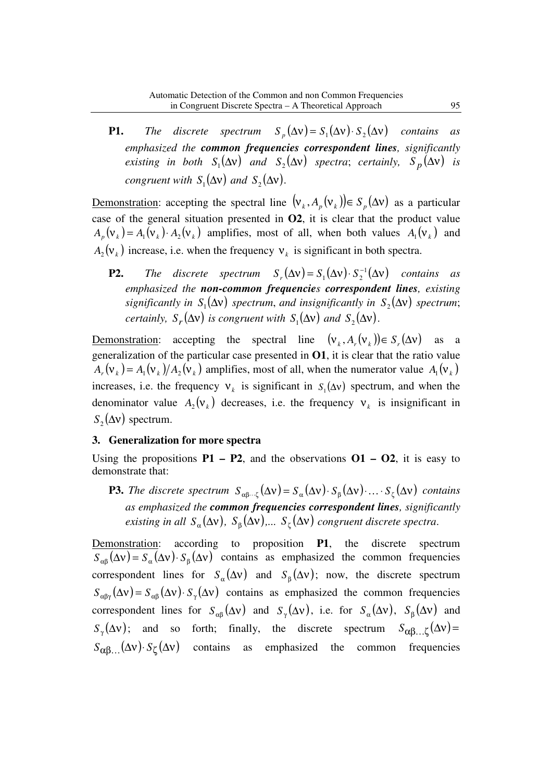**P1.** The discrete spectrum  $S_p(\Delta v) = S_1(\Delta v) \cdot S_2(\Delta v)$  contains as *emphasized the common frequencies correspondent lines, significantly existing in both*  $S_1(\Delta v)$  *and*  $S_2(\Delta v)$  *spectra*; *certainly,*  $S_p(\Delta v)$  *is congruent with*  $S_1(\Delta v)$  *and*  $S_2(\Delta v)$ .

Demonstration: accepting the spectral line  $(v_k, A_p(v_k)) \in S_p(\Delta v)$  as a particular case of the general situation presented in **O2**, it is clear that the product value  $A_p(\mathbf{v}_k) = A_1(\mathbf{v}_k) \cdot A_2(\mathbf{v}_k)$  amplifies, most of all, when both values  $A_1(\mathbf{v}_k)$  and  $A_2(\mathsf{v}_k)$  increase, i.e. when the frequency  $\mathsf{v}_k$  is significant in both spectra.

**P2.** The discrete spectrum  $S_r(\Delta v) = S_1(\Delta v) \cdot S_2^{-1}(\Delta v)$  contains as *emphasized the non-common frequencies correspondent lines, existing significantly in*  $S_1(\Delta v)$  *spectrum, and insignificantly in*  $S_2(\Delta v)$  *spectrum*; *certainly,*  $S_r(\Delta v)$  *is congruent with*  $S_1(\Delta v)$  *and*  $S_2(\Delta v)$ *.* 

Demonstration: accepting the spectral line  $(v_k, A_r(v_k)) \in S_r(\Delta v)$  as a generalization of the particular case presented in **O1**, it is clear that the ratio value  $(A_r(\mathbf{v}_k) = A_1(\mathbf{v}_k)/A_2(\mathbf{v}_k)$  amplifies, most of all, when the numerator value  $A_1(\mathbf{v}_k)$ increases, i.e. the frequency  $v_k$  is significant in  $S_1(\Delta v)$  spectrum, and when the denominator value  $A_2(v_k)$  decreases, i.e. the frequency  $v_k$  is insignificant in  $S_2(\Delta v)$  spectrum.

### **3. Generalization for more spectra**

Using the propositions  $P1 - P2$ , and the observations  $O1 - O2$ , it is easy to demonstrate that:

**P3.** *The discrete spectrum*  $S_{\alpha\beta\cdots\zeta}(\Delta v) = S_{\alpha}(\Delta v) \cdot S_{\beta}(\Delta v) \cdot \cdots \cdot S_{\zeta}(\Delta v)$  *contains as emphasized the common frequencies correspondent lines, significantly existing in all*  $S_\alpha(\Delta v)$ ,  $S_\beta(\Delta v)$ ,...  $S_\zeta(\Delta v)$  congruent discrete spectra.

Demonstration: according to proposition **P1**, the discrete spectrum  $S_{\alpha\beta}(\Delta v) = S_{\alpha}(\Delta v) \cdot S_{\beta}(\Delta v)$  contains as emphasized the common frequencies correspondent lines for  $S_\alpha(\Delta v)$  and  $S_\beta(\Delta v)$ ; now, the discrete spectrum  $S_{\alpha\beta\gamma}(\Delta v) = S_{\alpha\beta}(\Delta v) \cdot S_{\gamma}(\Delta v)$  contains as emphasized the common frequencies correspondent lines for  $S_{\alpha\beta}(\Delta v)$  and  $S_{\gamma}(\Delta v)$ , i.e. for  $S_{\alpha}(\Delta v)$ ,  $S_{\beta}(\Delta v)$  and  $S_{\gamma}(\Delta v)$ ; and so forth; finally, the discrete spectrum  $S_{\alpha\beta...\zeta}(\Delta v)$  =  $S_{\alpha\beta}$ ...( $\Delta v$ )  $S_{\zeta}(\Delta v)$  contains as emphasized the common frequencies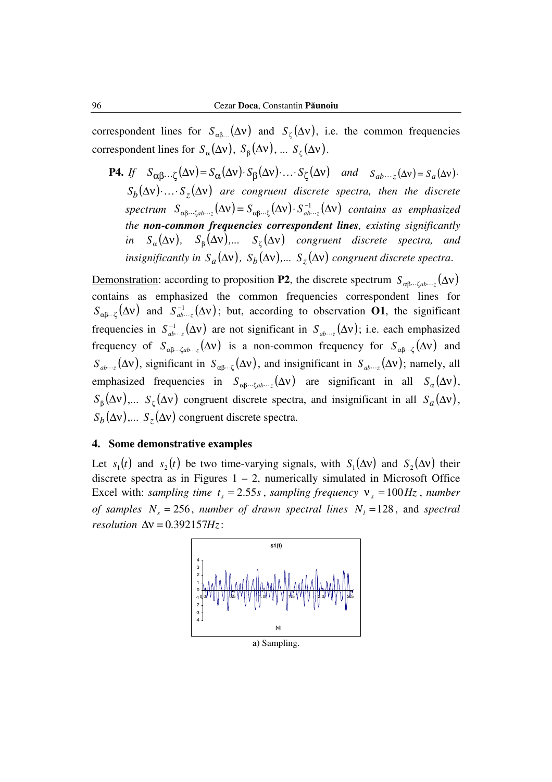correspondent lines for  $S_{\alpha\beta\dots}(\Delta v)$  and  $S_{\zeta}(\Delta v)$ , i.e. the common frequencies correspondent lines for  $S_{\alpha}(\Delta v)$ ,  $S_{\beta}(\Delta v)$ , ...  $S_{\zeta}(\Delta v)$ .

**P4.** *If*  $S_{\alpha\beta} \dots \zeta(\Delta v) = S_{\alpha}(\Delta v) \cdot S_{\beta}(\Delta v) \cdot \dots \cdot S_{\zeta}(\Delta v)$  and  $S_{ab} \dots \zeta(\Delta v) = S_a(\Delta v) \cdot S_{\beta}(\Delta v)$ .  $S_h(\Delta v) \cdot \ldots \cdot S_{\tau}(\Delta v)$  are congruent discrete spectra, then the discrete  $spectrum S_{\alpha\beta\cdots\zeta ab\cdots\zeta}(\Delta v) = S_{\alpha\beta\cdots\zeta}(\Delta v) \cdot S_{ab\cdots\zeta}^{-1}(\Delta v)$  $\alpha\beta\cdots\zeta ab\cdots z$  ( $\rightarrow$ ν)  $-\beta\alpha\beta\cdots\zeta$  $S_{\alpha\beta\cdots\zeta ab\cdots z}(\Delta v) = S_{\alpha\beta\cdots\zeta}(\Delta v) \cdot S_{ab\cdots z}^{-1}(\Delta v)$  contains as emphasized *the non-common frequencies correspondent lines, existing significantly in*  $S_{\alpha}(\Delta v)$ ,  $S_{\beta}(\Delta v)$ ,...  $S_{\zeta}(\Delta v)$  congruent discrete spectra, and *insignificantly in*  $S_a(\Delta v)$ ,  $S_b(\Delta v)$ ,...  $S_z(\Delta v)$  *congruent discrete spectra.* 

Demonstration: according to proposition **P2**, the discrete spectrum  $S_{\alpha\beta\cdots\zeta ab\cdots\zeta}(\Delta v)$ contains as emphasized the common frequencies correspondent lines for  $S_{\alpha\beta\cdots\zeta}(\Delta v)$  and  $S_{ab\cdots z}^{-1}(\Delta v)$ ; but, according to observation **O1**, the significant frequencies in  $S_{ab\cdots z}^{-1}(\Delta v)$  are not significant in  $S_{ab\cdots z}(\Delta v)$ ; i.e. each emphasized frequency of  $S_{\alpha\beta\cdots\zeta ab\cdots\zeta}(\Delta v)$  is a non-common frequency for  $S_{\alpha\beta\cdots\zeta}(\Delta v)$  and  $S_{ab\cdots z}(\Delta v)$ , significant in  $S_{\alpha\beta\cdots \zeta}(\Delta v)$ , and insignificant in  $S_{ab\cdots z}(\Delta v)$ ; namely, all emphasized frequencies in  $S_{\alpha\beta\cdots\zeta ab\cdots z}(\Delta v)$  are significant in all  $S_{\alpha}(\Delta v)$ ,  $S_{\beta}(\Delta v)$ ,...  $S_{\zeta}(\Delta v)$  congruent discrete spectra, and insignificant in all  $S_a(\Delta v)$ ,  $S_b(\Delta v)$ ,...  $S_z(\Delta v)$  congruent discrete spectra.

### **4. Some demonstrative examples**

Let  $s_1(t)$  and  $s_2(t)$  be two time-varying signals, with  $S_1(\Delta v)$  and  $S_2(\Delta v)$  their discrete spectra as in Figures  $1 - 2$ , numerically simulated in Microsoft Office Excel with: *sampling time*  $t_s = 2.55s$ , *sampling frequency*  $V_s = 100 Hz$ , *number of samples*  $N_s = 256$ , *number of drawn spectral lines*  $N_l = 128$ , and *spectral resolution*  $\Delta v = 0.392157Hz$ :

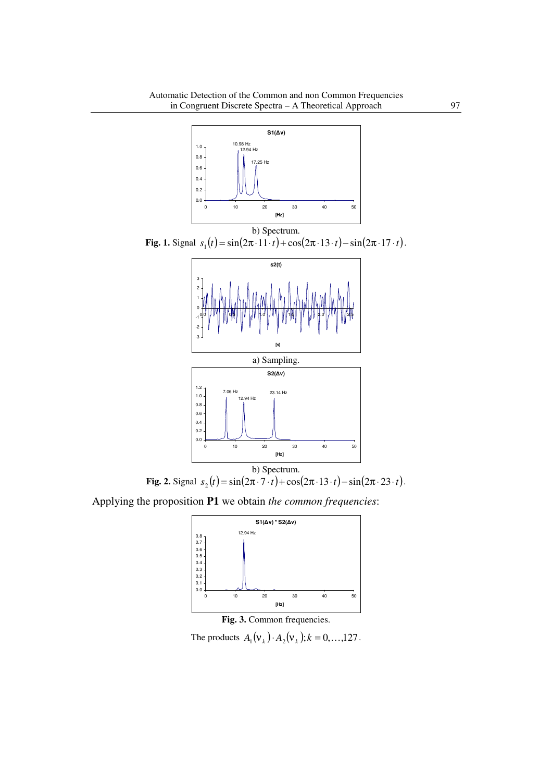

**Fig. 1.** Signal  $s_1(t) = \sin(2\pi \cdot 11 \cdot t) + \cos(2\pi \cdot 13 \cdot t) - \sin(2\pi \cdot 17 \cdot t)$ .



**Fig. 2.** Signal  $s_2(t) = \sin(2\pi \cdot 7 \cdot t) + \cos(2\pi \cdot 13 \cdot t) - \sin(2\pi \cdot 23 \cdot t)$ .

Applying the proposition **P1** we obtain *the common frequencies*:





The products  $A_1(\mathbf{v}_k) \cdot A_2(\mathbf{v}_k)$ ;  $k = 0, \ldots,127$ .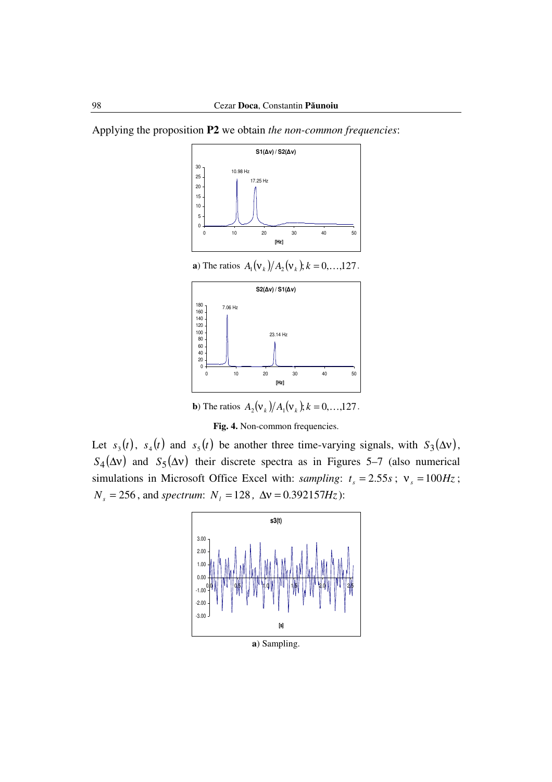Applying the proposition **P2** we obtain *the non-common frequencies*:



**a**) The ratios  $A_1(\mathbf{v}_k)/A_2(\mathbf{v}_k)$ ;  $k = 0, ...,127$ .



**b**) The ratios  $A_2(\mathbf{v}_k)/A_1(\mathbf{v}_k)$ ;  $k = 0, ...,127$ .

**Fig. 4.** Non-common frequencies.

Let  $s_3(t)$ ,  $s_4(t)$  and  $s_5(t)$  be another three time-varying signals, with  $S_3(\Delta v)$ ,  $S_4(\Delta v)$  and  $S_5(\Delta v)$  their discrete spectra as in Figures 5–7 (also numerical simulations in Microsoft Office Excel with: *sampling*:  $t_s = 2.55s$ ;  $v_s = 100Hz$ ;  $N_s = 256$ , and *spectrum*:  $N_l = 128$ ,  $\Delta v = 0.392157Hz$ ):



**a**) Sampling.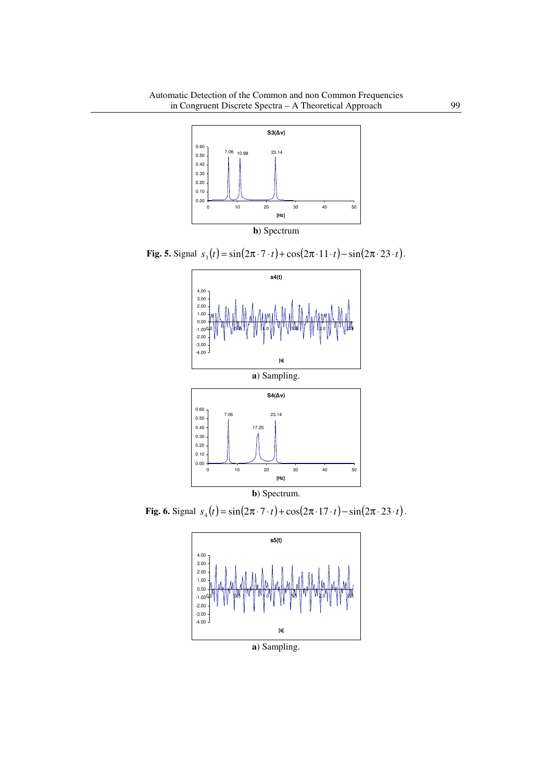

**Fig. 5.** Signal  $s_3(t) = \sin(2\pi \cdot 7 \cdot t) + \cos(2\pi \cdot 11 \cdot t) - \sin(2\pi \cdot 23 \cdot t)$ .



**b**) Spectrum. **Fig. 6.** Signal  $s_4(t) = \sin(2\pi \cdot 7 \cdot t) + \cos(2\pi \cdot 17 \cdot t) - \sin(2\pi \cdot 23 \cdot t)$ .



**a**) Sampling.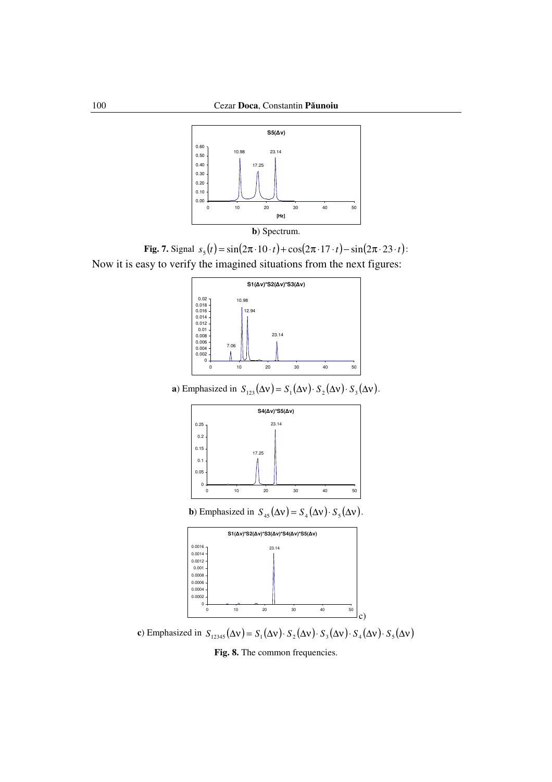

**b**) Spectrum.

**Fig. 7.** Signal  $s_5(t) = \sin(2\pi \cdot 10 \cdot t) + \cos(2\pi \cdot 17 \cdot t) - \sin(2\pi \cdot 23 \cdot t)$ : Now it is easy to verify the imagined situations from the next figures:



**a**) Emphasized in  $S_{123}(\Delta v) = S_1(\Delta v) \cdot S_2(\Delta v) \cdot S_3(\Delta v)$ .



**b**) Emphasized in  $S_{45}(\Delta v) = S_4(\Delta v) \cdot S_5(\Delta v)$ .

|            |    | $S1(\Delta v)^*S2(\Delta v)^*S3(\Delta v)^*S4(\Delta v)^*S5(\Delta v)$ |    |    |    |
|------------|----|------------------------------------------------------------------------|----|----|----|
| $0.0016 -$ |    | 23.14                                                                  |    |    |    |
| 0.0014     |    |                                                                        |    |    |    |
| 0.0012     |    |                                                                        |    |    |    |
| 0.001      |    |                                                                        |    |    |    |
| 0.0008     |    |                                                                        |    |    |    |
| $0.0006 -$ |    |                                                                        |    |    |    |
| 0.0004     |    |                                                                        |    |    |    |
| 0.0002     |    |                                                                        |    |    |    |
| o          |    |                                                                        |    |    |    |
| n          | 10 | 20                                                                     | 30 | 40 | 50 |

**c**) Emphasized in  $S_{12345}(\Delta v) = S_1(\Delta v) \cdot S_2(\Delta v) \cdot S_3(\Delta v) \cdot S_4(\Delta v) \cdot S_5(\Delta v)$ 

**Fig. 8.** The common frequencies.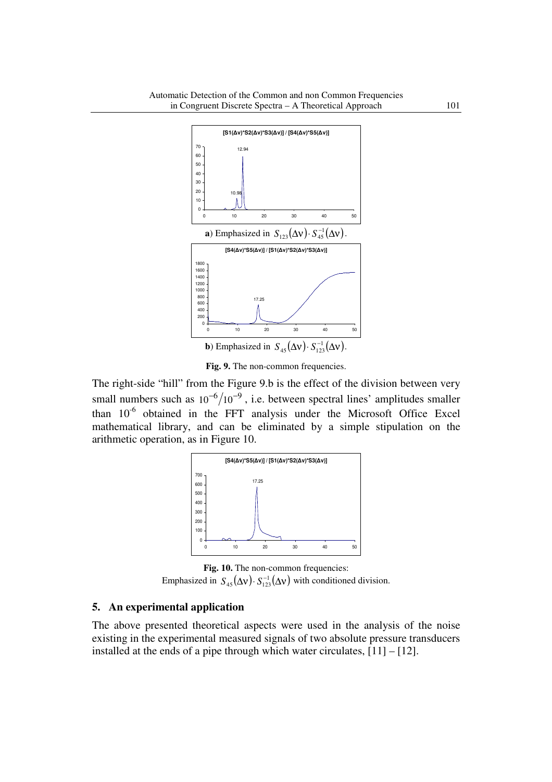

Fig. 9. The non-common frequencies.

The right-side "hill" from the Figure 9.b is the effect of the division between very small numbers such as  $10^{-6}/10^{-9}$ , i.e. between spectral lines' amplitudes smaller than  $10^{-6}$  obtained in the FFT analysis under the Microsoft Office Excel mathematical library, and can be eliminated by a simple stipulation on the arithmetic operation, as in Figure 10.



**Fig. 10.** The non-common frequencies: Emphasized in  $S_{45}(\Delta v) \cdot S_{123}^{-1}(\Delta v)$  with conditioned division.

### **5. An experimental application**

The above presented theoretical aspects were used in the analysis of the noise existing in the experimental measured signals of two absolute pressure transducers installed at the ends of a pipe through which water circulates,  $[11] - [12]$ .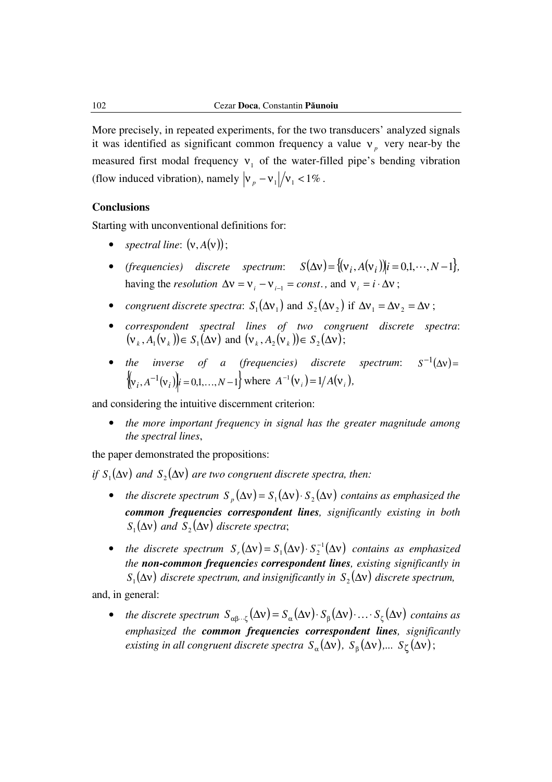More precisely, in repeated experiments, for the two transducers' analyzed signals it was identified as significant common frequency a value  $v_p$  very near-by the measured first modal frequency  $v_1$  of the water-filled pipe's bending vibration (flow induced vibration), namely  $|v_p - v_1|/v_1 < 1\%$ .

### **Conclusions**

Starting with unconventional definitions for:

- *spectral line*:  $(v, A(v))$ ;
- *(frequencies)* discrete spectrum:  $S(\Delta v) = \{ (v_i, A(v_i)) | i = 0, 1, \dots, N 1 \},\$ having the *resolution*  $\Delta v = v_i - v_{i-1} = const.$ , and  $v_i = i \cdot \Delta v$ ;
- *congruent discrete spectra*:  $S_1(\Delta v_1)$  and  $S_2(\Delta v_2)$  if  $\Delta v_1 = \Delta v_2 = \Delta v$ ;
- *correspondent spectral lines of two congruent discrete spectra*:  $(v_k, A_1(v_k)) \in S_1(\Delta v)$  and  $(v_k, A_2(v_k)) \in S_2(\Delta v)$ ;
- *the inverse of a (frequencies) discrete spectrum*: −1 *S*  $\{ (v_i, A^{-1}(v_i)) | i = 0,1,..., N-1 \}$  where  $A^{-1}(v_i) = 1/A(v_i)$ ,

and considering the intuitive discernment criterion:

• *the more important frequency in signal has the greater magnitude among the spectral lines*,

the paper demonstrated the propositions:

*if*  $S_1(\Delta v)$  and  $S_2(\Delta v)$  are two congruent discrete spectra, then:

- *the discrete spectrum*  $S_p(\Delta v) = S_1(\Delta v) \cdot S_2(\Delta v)$  *contains as emphasized the common frequencies correspondent lines, significantly existing in both*   $S_1(\Delta v)$  and  $S_2(\Delta v)$  discrete spectra;
- *the discrete spectrum*  $S_r(\Delta v) = S_1(\Delta v) \cdot S_2^{-1}(\Delta v)$  *contains as emphasized the non-common frequencies correspondent lines, existing significantly in*   $S_1(\Delta v)$  discrete spectrum, and insignificantly in  $S_2(\Delta v)$  discrete spectrum,

and, in general:

• *the discrete spectrum*  $S_{\alpha\beta\cdots\zeta}(\Delta v) = S_{\alpha}(\Delta v) \cdot S_{\beta}(\Delta v) \cdot \cdots S_{\zeta}(\Delta v)$  *contains as emphasized the common frequencies correspondent lines, significantly existing in all congruent discrete spectra*  $S_\alpha(\Delta v)$ ,  $S_\beta(\Delta v)$ ,...  $S_\zeta(\Delta v)$ ;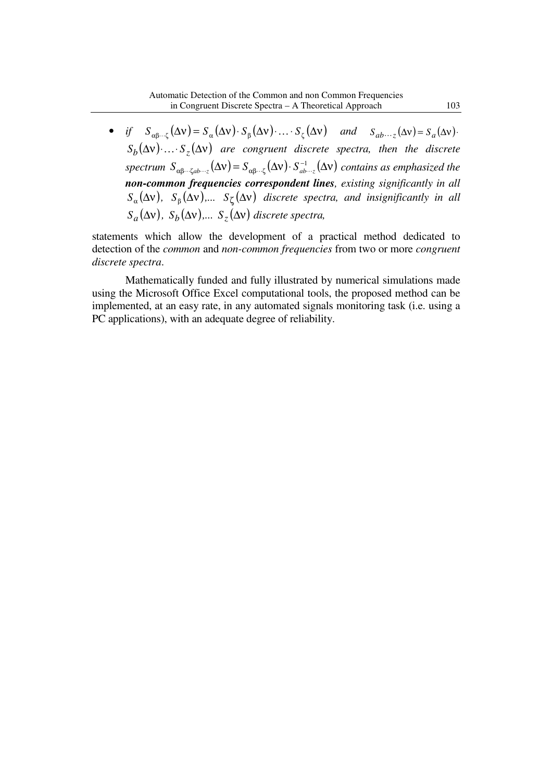• *if*  $S_{\alpha\beta\cdots\zeta}(\Delta v) = S_{\alpha}(\Delta v) \cdot S_{\beta}(\Delta v) \cdot \ldots \cdot S_{\zeta}(\Delta v)$  and  $S_{ab\cdots z}(\Delta v) = S_a(\Delta v) \cdot$  $S_b(\Delta v)$   $\ldots$   $S_z(\Delta v)$  *are congruent discrete spectra, then the discrete*  $spectrum S_{\alpha\beta\cdots\zeta ab\cdots z}(\Delta v) = S_{\alpha\beta\cdots\zeta}(\Delta v) \cdot S_{ab\cdots z}^{-1}(\Delta v)$  $\alpha\beta\cdots\zeta ab\cdots z$  ( $\rightarrow$ ν)  $-\beta\alpha\beta\cdots\zeta$  $S_{\alpha\beta\cdots\zeta ab\cdots z}(\Delta v) = S_{\alpha\beta\cdots\zeta}(\Delta v) \cdot S_{ab\cdots z}^{-1}(\Delta v)$  contains as emphasized the *non-common frequencies correspondent lines, existing significantly in all*   $S_\alpha(\Delta v)$ ,  $S_\beta(\Delta v)$ ,...  $S_\zeta(\Delta v)$  *discrete spectra, and insignificantly in all*  $S_a(\Delta v)$ ,  $S_b(\Delta v)$ ,...  $S_z(\Delta v)$  *discrete spectra,* 

statements which allow the development of a practical method dedicated to detection of the *common* and *non-common frequencies* from two or more *congruent discrete spectra*.

Mathematically funded and fully illustrated by numerical simulations made using the Microsoft Office Excel computational tools, the proposed method can be implemented, at an easy rate, in any automated signals monitoring task (i.e. using a PC applications), with an adequate degree of reliability.